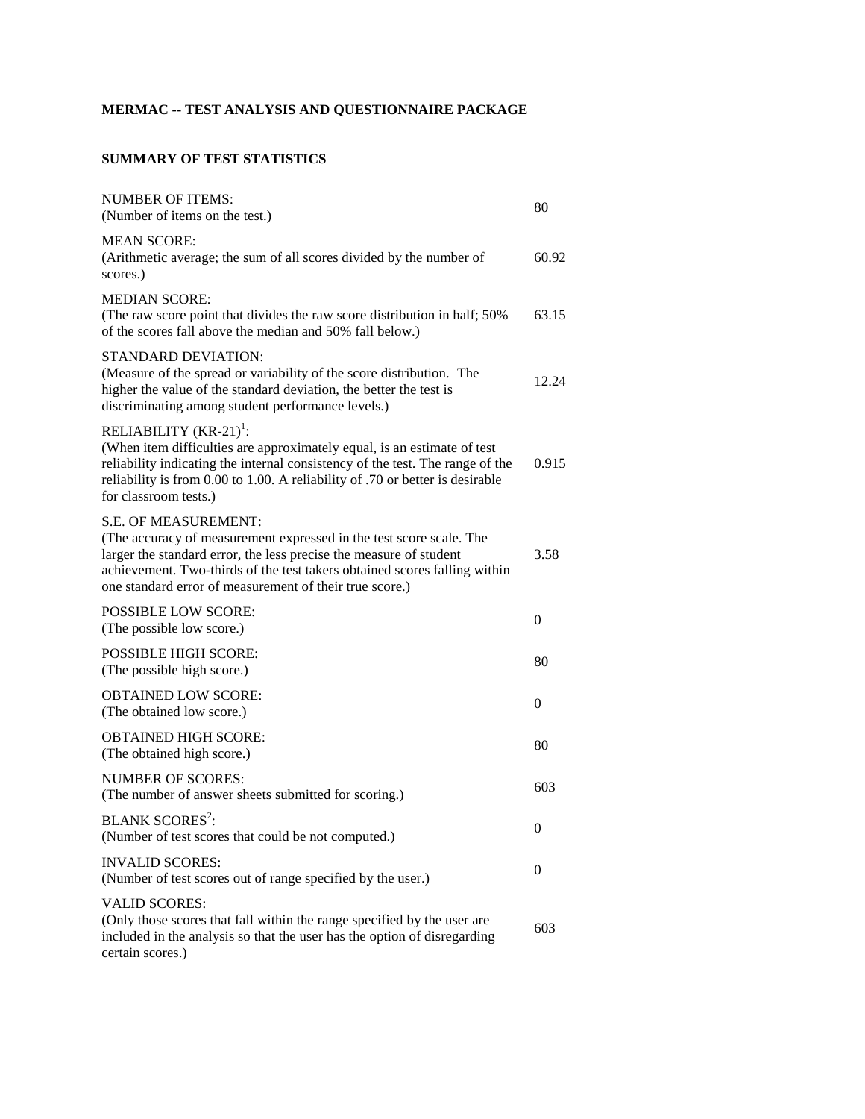## **MERMAC -- TEST ANALYSIS AND QUESTIONNAIRE PACKAGE**

## **SUMMARY OF TEST STATISTICS**

| <b>NUMBER OF ITEMS:</b><br>(Number of items on the test.)                                                                                                                                                                                                                                                        | 80               |
|------------------------------------------------------------------------------------------------------------------------------------------------------------------------------------------------------------------------------------------------------------------------------------------------------------------|------------------|
| <b>MEAN SCORE:</b><br>(Arithmetic average; the sum of all scores divided by the number of<br>scores.)                                                                                                                                                                                                            | 60.92            |
| <b>MEDIAN SCORE:</b><br>(The raw score point that divides the raw score distribution in half; 50%)<br>of the scores fall above the median and 50% fall below.)                                                                                                                                                   | 63.15            |
| STANDARD DEVIATION:<br>(Measure of the spread or variability of the score distribution. The<br>higher the value of the standard deviation, the better the test is<br>discriminating among student performance levels.)                                                                                           | 12.24            |
| RELIABILITY $(KR-21)^{1}$ :<br>(When item difficulties are approximately equal, is an estimate of test<br>reliability indicating the internal consistency of the test. The range of the<br>reliability is from 0.00 to 1.00. A reliability of .70 or better is desirable<br>for classroom tests.)                | 0.915            |
| <b>S.E. OF MEASUREMENT:</b><br>(The accuracy of measurement expressed in the test score scale. The<br>larger the standard error, the less precise the measure of student<br>achievement. Two-thirds of the test takers obtained scores falling within<br>one standard error of measurement of their true score.) | 3.58             |
| <b>POSSIBLE LOW SCORE:</b><br>(The possible low score.)                                                                                                                                                                                                                                                          | 0                |
| <b>POSSIBLE HIGH SCORE:</b><br>(The possible high score.)                                                                                                                                                                                                                                                        | 80               |
| <b>OBTAINED LOW SCORE:</b><br>(The obtained low score.)                                                                                                                                                                                                                                                          | 0                |
| <b>OBTAINED HIGH SCORE:</b><br>(The obtained high score.)                                                                                                                                                                                                                                                        | 80               |
| <b>NUMBER OF SCORES:</b><br>(The number of answer sheets submitted for scoring.)                                                                                                                                                                                                                                 | 603              |
| <b>BLANK SCORES<sup>2</sup></b> :<br>(Number of test scores that could be not computed.)                                                                                                                                                                                                                         | $\boldsymbol{0}$ |
| <b>INVALID SCORES:</b><br>(Number of test scores out of range specified by the user.)                                                                                                                                                                                                                            | 0                |
| <b>VALID SCORES:</b><br>(Only those scores that fall within the range specified by the user are<br>included in the analysis so that the user has the option of disregarding<br>certain scores.)                                                                                                                  | 603              |